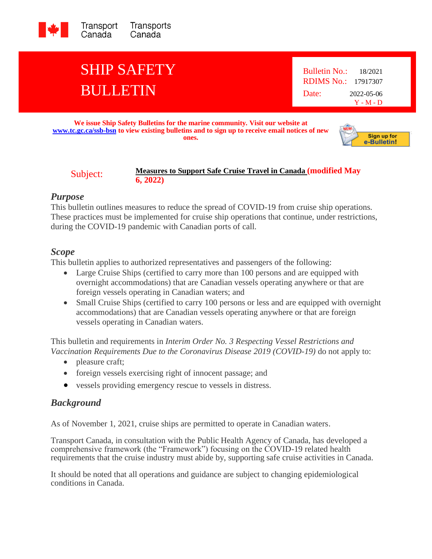

# SHIP SAFETY BULLETIN

Bulletin No.: 18/2021 RDIMS No.: 17917307 Date: 2022-05-06 Y - M - D

**We issue Ship Safety Bulletins for the marine community. Visit our website at [www.tc.gc.ca/ssb-bsn](http://www.tc.gc.ca/ssb-bsn) to view existing bulletins and to sign up to receive email notices of new ones.**



#### Subject: **Measures to Support Safe Cruise Travel in Canada (modified May 6, 2022)**

# *Purpose*

This bulletin outlines measures to reduce the spread of COVID-19 from cruise ship operations. These practices must be implemented for cruise ship operations that continue, under restrictions, during the COVID-19 pandemic with Canadian ports of call.

# *Scope*

This bulletin applies to authorized representatives and passengers of the following:

- Large Cruise Ships (certified to carry more than 100 persons and are equipped with overnight accommodations) that are Canadian vessels operating anywhere or that are foreign vessels operating in Canadian waters; and
- Small Cruise Ships (certified to carry 100 persons or less and are equipped with overnight accommodations) that are Canadian vessels operating anywhere or that are foreign vessels operating in Canadian waters.

This bulletin and requirements in *Interim Order No. 3 Respecting Vessel Restrictions and Vaccination Requirements Due to the Coronavirus Disease 2019 (COVID-19)* do not apply to:

- pleasure craft;
- foreign vessels exercising right of innocent passage; and
- vessels providing emergency rescue to vessels in distress.

# *Background*

As of November 1, 2021, cruise ships are permitted to operate in Canadian waters.

Transport Canada, in consultation with the Public Health Agency of Canada, has developed a comprehensive framework (the "Framework") focusing on the COVID-19 related health requirements that the cruise industry must abide by, supporting safe cruise activities in Canada.

It should be noted that all operations and guidance are subject to changing epidemiological conditions in Canada.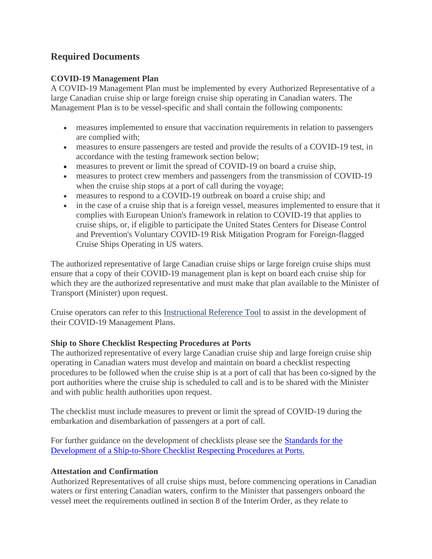# **Required Documents**

### **COVID-19 Management Plan**

A COVID-19 Management Plan must be implemented by every Authorized Representative of a large Canadian cruise ship or large foreign cruise ship operating in Canadian waters. The Management Plan is to be vessel-specific and shall contain the following components:

- measures implemented to ensure that vaccination requirements in relation to passengers are complied with;
- measures to ensure passengers are tested and provide the results of a COVID-19 test, in accordance with the testing framework section below;
- measures to prevent or limit the spread of COVID-19 on board a cruise ship,
- measures to protect crew members and passengers from the transmission of COVID-19 when the cruise ship stops at a port of call during the voyage;
- measures to respond to a COVID-19 outbreak on board a cruise ship; and
- in the case of a cruise ship that is a foreign vessel, measures implemented to ensure that it complies with European Union's framework in relation to COVID-19 that applies to cruise ships, or, if eligible to participate the United States Centers for Disease Control and Prevention's Voluntary COVID-19 Risk Mitigation Program for Foreign-flagged Cruise Ships Operating in US waters.

The authorized representative of large Canadian cruise ships or large foreign cruise ships must ensure that a copy of their COVID-19 management plan is kept on board each cruise ship for which they are the authorized representative and must make that plan available to the Minister of Transport (Minister) upon request.

Cruise operators can refer to this [Instructional Reference Tool](https://tc.canada.ca/en/initiatives/covid-19-measures-updates-guidance-issued-transport-canada/canada-s-cruise-ship-instructional-reference-tool) to assist in the development of their COVID-19 Management Plans.

#### **Ship to Shore Checklist Respecting Procedures at Ports**

The authorized representative of every large Canadian cruise ship and large foreign cruise ship operating in Canadian waters must develop and maintain on board a checklist respecting procedures to be followed when the cruise ship is at a port of call that has been co-signed by the port authorities where the cruise ship is scheduled to call and is to be shared with the Minister and with public health authorities upon request.

The checklist must include measures to prevent or limit the spread of COVID-19 during the embarkation and disembarkation of passengers at a port of call.

For further guidance on the development of checklists please see the [Standards for the](https://tc.canada.ca/en/initiatives/covid-19-measures-updates-guidance-issued-transport-canada/standards-development-ship-shore-checklist-respecting-procedures-ports)  [Development of a Ship-to-Shore Checklist Respecting Procedures at Ports.](https://tc.canada.ca/en/initiatives/covid-19-measures-updates-guidance-issued-transport-canada/standards-development-ship-shore-checklist-respecting-procedures-ports)

# **Attestation and Confirmation**

Authorized Representatives of all cruise ships must, before commencing operations in Canadian waters or first entering Canadian waters, confirm to the Minister that passengers onboard the vessel meet the requirements outlined in section 8 of the Interim Order, as they relate to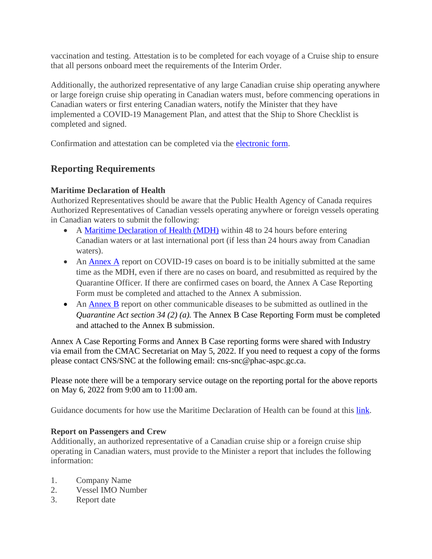vaccination and testing. Attestation is to be completed for each voyage of a Cruise ship to ensure that all persons onboard meet the requirements of the Interim Order.

Additionally, the authorized representative of any large Canadian cruise ship operating anywhere or large foreign cruise ship operating in Canadian waters must, before commencing operations in Canadian waters or first entering Canadian waters, notify the Minister that they have implemented a COVID-19 Management Plan, and attest that the Ship to Shore Checklist is completed and signed.

Confirmation and attestation can be completed via the [electronic form.](https://forms.office.com/pages/responsepage.aspx?id=qf8IILLJl02a2UrOJThr5-ES-L1nt3FAp07WMVs_eSxUQlo0SUdHWjg3MVNSUllVWEVVMjZZWTdLQSQlQCN0PWcu&wdLOR=c266A3771-4F65-413D-84BD-05FE8AE1E2DE)

# **Reporting Requirements**

# **Maritime Declaration of Health**

Authorized Representatives should be aware that the Public Health Agency of Canada requires Authorized Representatives of Canadian vessels operating anywhere or foreign vessels operating in Canadian waters to submit the following:

- A [Maritime Declaration of Health \(MDH\)](https://form-formulaire.phac-aspc.gc.ca/348323?lang=en) within 48 to 24 hours before entering Canadian waters or at last international port (if less than 24 hours away from Canadian waters).
- An [Annex A](https://form-formulaire.phac-aspc.gc.ca/121434?lang=en) report on COVID-19 cases on board is to be initially submitted at the same time as the MDH, even if there are no cases on board, and resubmitted as required by the Quarantine Officer. If there are confirmed cases on board, the Annex A Case Reporting Form must be completed and attached to the Annex A submission.
- An [Annex B](https://form-formulaire.phac-aspc.gc.ca/487852?lang=en) report on other communicable diseases to be submitted as outlined in the *Quarantine Act section 34 (2) (a).* The Annex B Case Reporting Form must be completed and attached to the Annex B submission.

Annex A Case Reporting Forms and Annex B Case reporting forms were shared with Industry via email from the CMAC Secretariat on May 5, 2022. If you need to request a copy of the forms please contact CNS/SNC at the following email: cns-snc@phac-aspc.gc.ca.

Please note there will be a temporary service outage on the reporting portal for the above reports on May 6, 2022 from 9:00 am to 11:00 am.

Guidance documents for how use the Maritime Declaration of Health can be found at this [link.](https://tc.canada.ca/en/initiatives/covid-19-measures-updates-guidance-issued-transport-canada/covid-19-measures-updates-guidance-marine-transportation-issued-transport-canada/guidance-cruise-ships-how-use-maritime-declaration-health)

# **Report on Passengers and Crew**

Additionally, an authorized representative of a Canadian cruise ship or a foreign cruise ship operating in Canadian waters, must provide to the Minister a report that includes the following information:

- 1. Company Name
- 2. Vessel IMO Number
- 3. Report date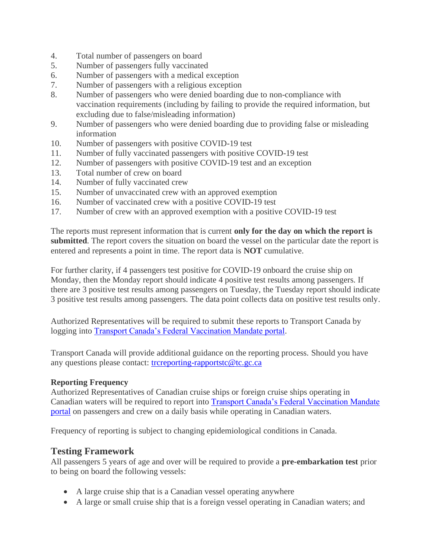- 4. Total number of passengers on board
- 5. Number of passengers fully vaccinated
- 6. Number of passengers with a medical exception
- 7. Number of passengers with a religious exception
- 8. Number of passengers who were denied boarding due to non-compliance with vaccination requirements (including by failing to provide the required information, but excluding due to false/misleading information)
- 9. Number of passengers who were denied boarding due to providing false or misleading information
- 10. Number of passengers with positive COVID-19 test
- 11. Number of fully vaccinated passengers with positive COVID-19 test
- 12. Number of passengers with positive COVID-19 test and an exception
- 13. Total number of crew on board
- 14. Number of fully vaccinated crew
- 15. Number of unvaccinated crew with an approved exemption
- 16. Number of vaccinated crew with a positive COVID-19 test
- 17. Number of crew with an approved exemption with a positive COVID-19 test

The reports must represent information that is current **only for the day on which the report is submitted**. The report covers the situation on board the vessel on the particular date the report is entered and represents a point in time. The report data is **NOT** cumulative.

For further clarity, if 4 passengers test positive for COVID-19 onboard the cruise ship on Monday, then the Monday report should indicate 4 positive test results among passengers. If there are 3 positive test results among passengers on Tuesday, the Tuesday report should indicate 3 positive test results among passengers. The data point collects data on positive test results only.

Authorized Representatives will be required to submit these reports to Transport Canada by logging into [Transport Canada's Federal Vaccination Mandate portal.](https://stats.tc.gc.ca/vax_surveys/login.aspx)

Transport Canada will provide additional guidance on the reporting process. Should you have any questions please contact: [trcreporting-rapportstc@tc.gc.ca](mailto:trcreporting-rapportstc@tc.gc.ca)

#### **Reporting Frequency**

Authorized Representatives of Canadian cruise ships or foreign cruise ships operating in Canadian waters will be required to report into **Transport Canada's Federal Vaccination Mandate** [portal](https://stats.tc.gc.ca/vax_surveys/login.aspx) on passengers and crew on a daily basis while operating in Canadian waters.

Frequency of reporting is subject to changing epidemiological conditions in Canada.

# **Testing Framework**

All passengers 5 years of age and over will be required to provide a **pre-embarkation test** prior to being on board the following vessels:

- A large cruise ship that is a Canadian vessel operating anywhere
- A large or small cruise ship that is a foreign vessel operating in Canadian waters; and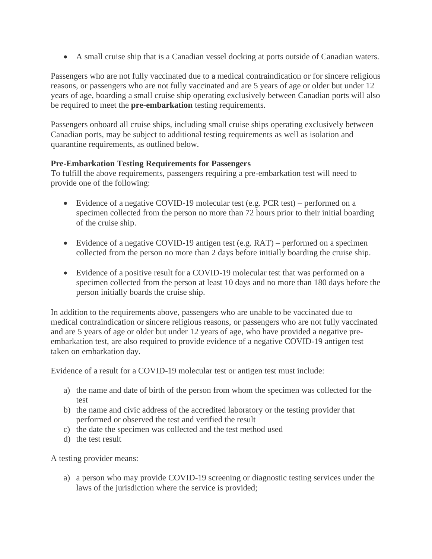• A small cruise ship that is a Canadian vessel docking at ports outside of Canadian waters.

Passengers who are not fully vaccinated due to a medical contraindication or for sincere religious reasons, or passengers who are not fully vaccinated and are 5 years of age or older but under 12 years of age, boarding a small cruise ship operating exclusively between Canadian ports will also be required to meet the **pre-embarkation** testing requirements.

Passengers onboard all cruise ships, including small cruise ships operating exclusively between Canadian ports, may be subject to additional testing requirements as well as isolation and quarantine requirements, as outlined below.

### **Pre-Embarkation Testing Requirements for Passengers**

To fulfill the above requirements, passengers requiring a pre-embarkation test will need to provide one of the following:

- Evidence of a negative COVID-19 molecular test (e.g. PCR test) performed on a specimen collected from the person no more than 72 hours prior to their initial boarding of the cruise ship.
- Evidence of a negative COVID-19 antigen test (e.g. RAT) performed on a specimen collected from the person no more than 2 days before initially boarding the cruise ship.
- Evidence of a positive result for a COVID-19 molecular test that was performed on a specimen collected from the person at least 10 days and no more than 180 days before the person initially boards the cruise ship.

In addition to the requirements above, passengers who are unable to be vaccinated due to medical contraindication or sincere religious reasons, or passengers who are not fully vaccinated and are 5 years of age or older but under 12 years of age, who have provided a negative preembarkation test, are also required to provide evidence of a negative COVID-19 antigen test taken on embarkation day.

Evidence of a result for a COVID-19 molecular test or antigen test must include:

- a) the name and date of birth of the person from whom the specimen was collected for the test
- b) the name and civic address of the accredited laboratory or the testing provider that performed or observed the test and verified the result
- c) the date the specimen was collected and the test method used
- d) the test result

A testing provider means:

a) a person who may provide COVID-19 screening or diagnostic testing services under the laws of the jurisdiction where the service is provided;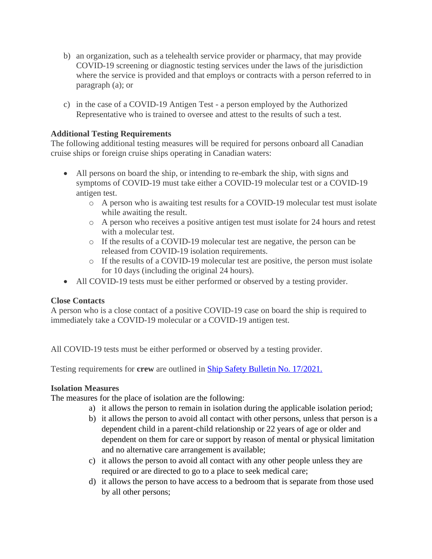- b) an organization, such as a telehealth service provider or pharmacy, that may provide COVID-19 screening or diagnostic testing services under the laws of the jurisdiction where the service is provided and that employs or contracts with a person referred to in paragraph (a); or
- c) in the case of a COVID-19 Antigen Test a person employed by the Authorized Representative who is trained to oversee and attest to the results of such a test.

# **Additional Testing Requirements**

The following additional testing measures will be required for persons onboard all Canadian cruise ships or foreign cruise ships operating in Canadian waters:

- All persons on board the ship, or intending to re-embark the ship, with signs and symptoms of COVID-19 must take either a COVID-19 molecular test or a COVID-19 antigen test.
	- o A person who is awaiting test results for a COVID-19 molecular test must isolate while awaiting the result.
	- o A person who receives a positive antigen test must isolate for 24 hours and retest with a molecular test.
	- o If the results of a COVID-19 molecular test are negative, the person can be released from COVID-19 isolation requirements.
	- o If the results of a COVID-19 molecular test are positive, the person must isolate for 10 days (including the original 24 hours).
- All COVID-19 tests must be either performed or observed by a testing provider.

# **Close Contacts**

A person who is a close contact of a positive COVID-19 case on board the ship is required to immediately take a COVID-19 molecular or a COVID-19 antigen test.

All COVID-19 tests must be either performed or observed by a testing provider.

Testing requirements for **crew** are outlined in [Ship Safety Bulletin No. 17/2021.](https://tc.canada.ca/en/marine-transportation/marine-safety/ship-safety-bulletins/measures-persons-other-passengers-canadian-vessels-foreign-passenger-vessels-operating-canadian-waters-mitigate-spread-covid-19-modified-january-15-2022-ssb-no-17-2021)

# **Isolation Measures**

The measures for the place of isolation are the following:

- a) it allows the person to remain in isolation during the applicable isolation period;
- b) it allows the person to avoid all contact with other persons, unless that person is a dependent child in a parent-child relationship or 22 years of age or older and dependent on them for care or support by reason of mental or physical limitation and no alternative care arrangement is available;
- c) it allows the person to avoid all contact with any other people unless they are required or are directed to go to a place to seek medical care;
- d) it allows the person to have access to a bedroom that is separate from those used by all other persons;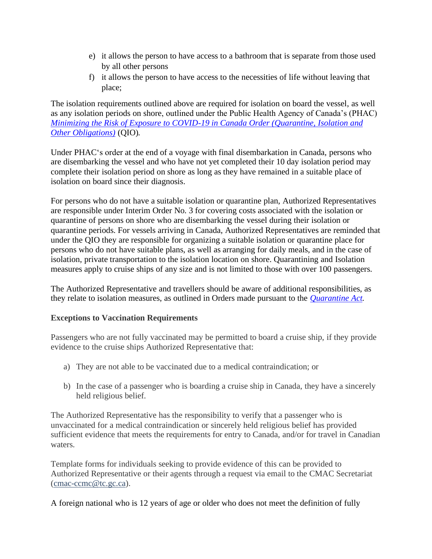- e) it allows the person to have access to a bathroom that is separate from those used by all other persons
- f) it allows the person to have access to the necessities of life without leaving that place;

The isolation requirements outlined above are required for isolation on board the vessel, as well as any isolation periods on shore, outlined under the Public Health Agency of Canada's (PHAC) *[Minimizing the Risk of Exposure to COVID-19 in Canada Order \(Quarantine, Isolation and](https://orders-in-council.canada.ca/attachment.php?attach=40172&lang=en)  [Other Obligations\)](https://orders-in-council.canada.ca/attachment.php?attach=40172&lang=en)* (QIO)*.* 

Under PHAC's order at the end of a voyage with final disembarkation in Canada, persons who are disembarking the vessel and who have not yet completed their 10 day isolation period may complete their isolation period on shore as long as they have remained in a suitable place of isolation on board since their diagnosis.

For persons who do not have a suitable isolation or quarantine plan, Authorized Representatives are responsible under Interim Order No. 3 for covering costs associated with the isolation or quarantine of persons on shore who are disembarking the vessel during their isolation or quarantine periods. For vessels arriving in Canada, Authorized Representatives are reminded that under the QIO they are responsible for organizing a suitable isolation or quarantine place for persons who do not have suitable plans, as well as arranging for daily meals, and in the case of isolation, private transportation to the isolation location on shore. Quarantining and Isolation measures apply to cruise ships of any size and is not limited to those with over 100 passengers.

The Authorized Representative and travellers should be aware of additional responsibilities, as they relate to isolation measures, as outlined in Orders made pursuant to the *[Quarantine Act.](https://laws-lois.justice.gc.ca/eng/acts/q-1.1/index.html)* 

# **Exceptions to Vaccination Requirements**

Passengers who are not fully vaccinated may be permitted to board a cruise ship, if they provide evidence to the cruise ships Authorized Representative that:

- a) They are not able to be vaccinated due to a medical contraindication; or
- b) In the case of a passenger who is boarding a cruise ship in Canada, they have a sincerely held religious belief.

The Authorized Representative has the responsibility to verify that a passenger who is unvaccinated for a medical contraindication or sincerely held religious belief has provided sufficient evidence that meets the requirements for entry to Canada, and/or for travel in Canadian waters.

Template forms for individuals seeking to provide evidence of this can be provided to Authorized Representative or their agents through a request via email to the CMAC Secretariat [\(cmac-ccmc@tc.gc.ca\)](mailto:cmac-ccmc@tc.gc.ca).

A foreign national who is 12 years of age or older who does not meet the definition of fully